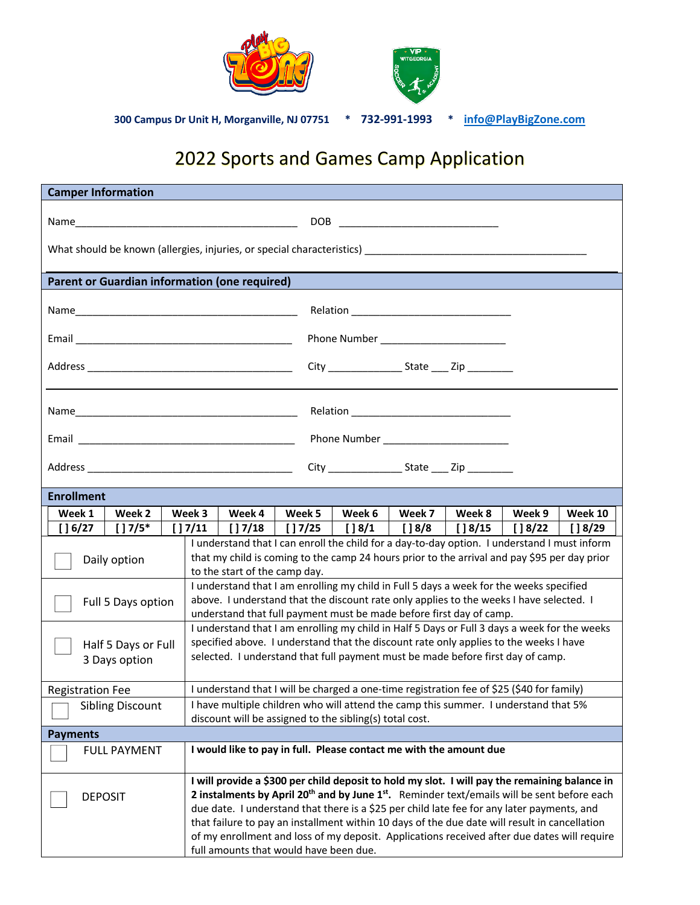

## 2022 Sports and Games Camp Application

| <b>Camper Information</b>                            |                          |                                                                                                                                                                                                                                                                                                                                                                                                                                                                                                                                                              |                                                                    |         |                                         |         |                                      |          |                    |  |
|------------------------------------------------------|--------------------------|--------------------------------------------------------------------------------------------------------------------------------------------------------------------------------------------------------------------------------------------------------------------------------------------------------------------------------------------------------------------------------------------------------------------------------------------------------------------------------------------------------------------------------------------------------------|--------------------------------------------------------------------|---------|-----------------------------------------|---------|--------------------------------------|----------|--------------------|--|
|                                                      |                          |                                                                                                                                                                                                                                                                                                                                                                                                                                                                                                                                                              |                                                                    |         |                                         |         |                                      |          |                    |  |
|                                                      |                          |                                                                                                                                                                                                                                                                                                                                                                                                                                                                                                                                                              |                                                                    |         |                                         |         |                                      |          |                    |  |
|                                                      |                          |                                                                                                                                                                                                                                                                                                                                                                                                                                                                                                                                                              |                                                                    |         |                                         |         |                                      |          |                    |  |
| <b>Parent or Guardian information (one required)</b> |                          |                                                                                                                                                                                                                                                                                                                                                                                                                                                                                                                                                              |                                                                    |         |                                         |         |                                      |          |                    |  |
|                                                      |                          |                                                                                                                                                                                                                                                                                                                                                                                                                                                                                                                                                              |                                                                    |         |                                         |         |                                      |          |                    |  |
| Phone Number ________________________                |                          |                                                                                                                                                                                                                                                                                                                                                                                                                                                                                                                                                              |                                                                    |         |                                         |         |                                      |          |                    |  |
|                                                      |                          |                                                                                                                                                                                                                                                                                                                                                                                                                                                                                                                                                              | City ________________________ State ______ Zip ____________        |         |                                         |         |                                      |          |                    |  |
|                                                      |                          |                                                                                                                                                                                                                                                                                                                                                                                                                                                                                                                                                              |                                                                    |         |                                         |         |                                      |          |                    |  |
|                                                      |                          |                                                                                                                                                                                                                                                                                                                                                                                                                                                                                                                                                              |                                                                    |         |                                         |         |                                      |          |                    |  |
|                                                      |                          |                                                                                                                                                                                                                                                                                                                                                                                                                                                                                                                                                              |                                                                    |         |                                         |         |                                      |          |                    |  |
|                                                      |                          |                                                                                                                                                                                                                                                                                                                                                                                                                                                                                                                                                              |                                                                    |         |                                         |         |                                      |          |                    |  |
| <b>Enrollment</b>                                    |                          |                                                                                                                                                                                                                                                                                                                                                                                                                                                                                                                                                              |                                                                    |         |                                         |         |                                      |          |                    |  |
| Week 1                                               | Week 2                   | Week 3                                                                                                                                                                                                                                                                                                                                                                                                                                                                                                                                                       | Week 4                                                             | Week 5  | Week 6                                  | Week 7  | Week 8                               | Week 9   |                    |  |
| $[$ [ $]$ 6/27                                       | $[$ $]$ 7/5 <sup>*</sup> |                                                                                                                                                                                                                                                                                                                                                                                                                                                                                                                                                              | $[$   7/11   $[$   7/18                                            | [] 7/25 | $\begin{bmatrix} 1 & 8/1 \end{bmatrix}$ | [ ] 8/8 | $\begin{bmatrix} \end{bmatrix}$ 8/15 | [ ] 8/22 | Week 10<br>$[$ 29] |  |
| Daily option                                         |                          | I understand that I can enroll the child for a day-to-day option. I understand I must inform<br>that my child is coming to the camp 24 hours prior to the arrival and pay \$95 per day prior<br>to the start of the camp day.                                                                                                                                                                                                                                                                                                                                |                                                                    |         |                                         |         |                                      |          |                    |  |
| Full 5 Days option                                   |                          | I understand that I am enrolling my child in Full 5 days a week for the weeks specified<br>above. I understand that the discount rate only applies to the weeks I have selected. I<br>understand that full payment must be made before first day of camp.                                                                                                                                                                                                                                                                                                    |                                                                    |         |                                         |         |                                      |          |                    |  |
| Half 5 Days or Full<br>3 Days option                 |                          | I understand that I am enrolling my child in Half 5 Days or Full 3 days a week for the weeks<br>specified above. I understand that the discount rate only applies to the weeks I have<br>selected. I understand that full payment must be made before first day of camp.                                                                                                                                                                                                                                                                                     |                                                                    |         |                                         |         |                                      |          |                    |  |
| <b>Registration Fee</b>                              |                          | I understand that I will be charged a one-time registration fee of \$25 (\$40 for family)                                                                                                                                                                                                                                                                                                                                                                                                                                                                    |                                                                    |         |                                         |         |                                      |          |                    |  |
| <b>Sibling Discount</b>                              |                          | I have multiple children who will attend the camp this summer. I understand that 5%<br>discount will be assigned to the sibling(s) total cost.                                                                                                                                                                                                                                                                                                                                                                                                               |                                                                    |         |                                         |         |                                      |          |                    |  |
| <b>Payments</b>                                      |                          |                                                                                                                                                                                                                                                                                                                                                                                                                                                                                                                                                              |                                                                    |         |                                         |         |                                      |          |                    |  |
| <b>FULL PAYMENT</b>                                  |                          |                                                                                                                                                                                                                                                                                                                                                                                                                                                                                                                                                              | I would like to pay in full. Please contact me with the amount due |         |                                         |         |                                      |          |                    |  |
| <b>DEPOSIT</b>                                       |                          | I will provide a \$300 per child deposit to hold my slot. I will pay the remaining balance in<br>2 instalments by April 20 <sup>th</sup> and by June 1 <sup>st</sup> . Reminder text/emails will be sent before each<br>due date. I understand that there is a \$25 per child late fee for any later payments, and<br>that failure to pay an installment within 10 days of the due date will result in cancellation<br>of my enrollment and loss of my deposit. Applications received after due dates will require<br>full amounts that would have been due. |                                                                    |         |                                         |         |                                      |          |                    |  |